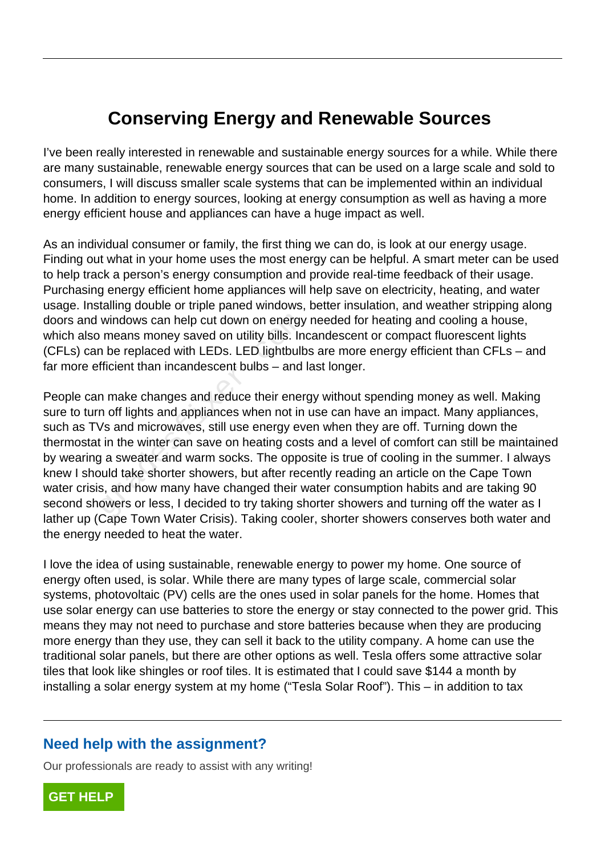## **Conserving Energy and Renewable Sources**

I've been really interested in renewable and sustainable energy sources for a while. While there are many sustainable, renewable energy sources that can be used on a large scale and sold to consumers, I will discuss smaller scale systems that can be implemented within an individual home. In addition to energy sources, looking at energy consumption as well as having a more energy efficient house and appliances can have a huge impact as well.

As an individual consumer or family, the first thing we can do, is look at our energy usage. Finding out what in your home uses the most energy can be helpful. A smart meter can be used to help track a person's energy consumption and provide real-time feedback of their usage. Purchasing energy efficient home appliances will help save on electricity, heating, and water usage. Installing double or triple paned windows, better insulation, and weather stripping along doors and windows can help cut down on energy needed for heating and cooling a house, which also means money saved on utility bills. Incandescent or compact fluorescent lights (CFLs) can be replaced with LEDs. LED lightbulbs are more energy efficient than CFLs – and far more efficient than incandescent bulbs – and last longer.

People can make changes and reduce their energy without spending money as well. Making sure to turn off lights and appliances when not in use can have an impact. Many appliances, such as TVs and microwaves, still use energy even when they are off. Turning down the thermostat in the winter can save on heating costs and a level of comfort can still be maintained by wearing a sweater and warm socks. The opposite is true of cooling in the summer. I always knew I should take shorter showers, but after recently reading an article on the Cape Town water crisis, and how many have changed their water consumption habits and are taking 90 second showers or less, I decided to try taking shorter showers and turning off the water as I lather up (Cape Town Water Crisis). Taking cooler, shorter showers conserves both water and the energy needed to heat the water. windows can help cut down on energy<br>means money saved on utility bills. In<br>the replaced with LEDs. LED lightbulb<br>fficient than incandescent bulbs – and<br>n make changes and reduce their ener<br>n off lights and appliances when

I love the idea of using sustainable, renewable energy to power my home. One source of energy often used, is solar. While there are many types of large scale, commercial solar systems, photovoltaic (PV) cells are the ones used in solar panels for the home. Homes that use solar energy can use batteries to store the energy or stay connected to the power grid. This means they may not need to purchase and store batteries because when they are producing more energy than they use, they can sell it back to the utility company. A home can use the traditional solar panels, but there are other options as well. Tesla offers some attractive solar tiles that look like shingles or roof tiles. It is estimated that I could save \$144 a month by installing a solar energy system at my home ("Tesla Solar Roof"). This – in addition to tax

## **Need help with the assignment?**

Our professionals are ready to assist with any writing!

**[GET HELP](https://my.gradesfixer.com/order?utm_campaign=pdf_sample)**